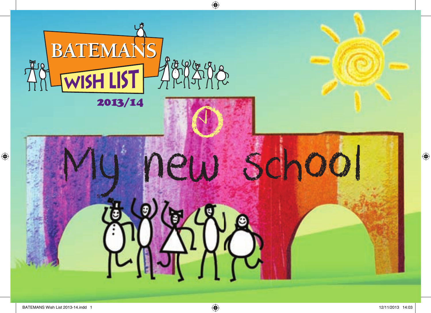